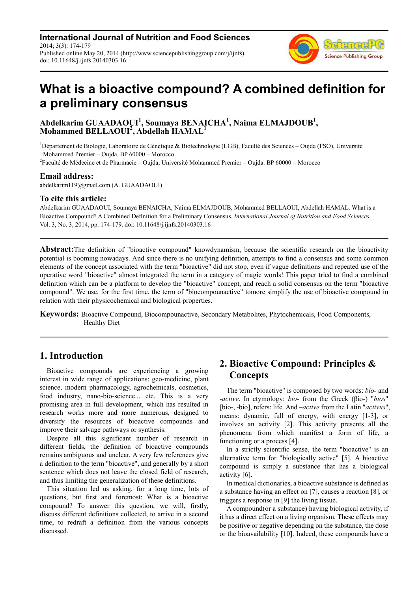**International Journal of Nutrition and Food Sciences** 2014; 3(3): 174-179 Published online May 20, 2014 (http://www.sciencepublishinggroup.com/j/ijnfs) doi: 10.11648/j.ijnfs.20140303.16



# **What is a bioactive compound? A combined definition for a preliminary consensus**

## **Abdelkarim GUAADAOUI<sup>1</sup> , Soumaya BENAICHA<sup>1</sup> , Naima ELMAJDOUB<sup>1</sup> , Mohammed BELLAOUI<sup>2</sup> , Abdellah HAMAL<sup>1</sup>**

 $1D$ épartement de Biologie, Laboratoire de Génétique & Biotechnologie (LGB), Faculté des Sciences – Oujda (FSO), Université Mohammed Premier – Oujda. BP 60000 – Morocco

2 Faculté de Médecine et de Pharmacie – Oujda, Université Mohammed Premier – Oujda. BP 60000 – Morocco

#### **Email address:**

abdelkarim119@gmail.com (A. GUAADAOUI)

#### **To cite this article:**

Abdelkarim GUAADAOUI, Soumaya BENAICHA, Naima ELMAJDOUB, Mohammed BELLAOUI, Abdellah HAMAL. What is a Bioactive Compound? A Combined Definition for a Preliminary Consensus. *International Journal of Nutrition and Food Sciences.* Vol. 3, No. 3, 2014, pp. 174-179. doi: 10.11648/j.ijnfs.20140303.16

**Abstract:**The definition of "bioactive compound" knowdynamism, because the scientific research on the bioactivity potential is booming nowadays. And since there is no unifying definition, attempts to find a consensus and some common elements of the concept associated with the term "bioactive" did not stop, even if vague definitions and repeated use of the operative word "bioactive" almost integrated the term in a category of magic words! This paper tried to find a combined definition which can be a platform to develop the "bioactive" concept, and reach a solid consensus on the term "bioactive compound". We use, for the first time, the term of "biocompounactive" tomore simplify the use of bioactive compound in relation with their physicochemical and biological properties.

**Keywords:** Bioactive Compound, Biocompounactive, Secondary Metabolites, Phytochemicals, Food Components, Healthy Diet

# **1. Introduction**

Bioactive compounds are experiencing a growing interest in wide range of applications: geo-medicine, plant science, modern pharmacology, agrochemicals, cosmetics, food industry, nano-bio-science... etc. This is a very promising area in full development, which has resulted in research works more and more numerous, designed to diversify the resources of bioactive compounds and improve their salvage pathways or synthesis.

Despite all this significant number of research in different fields, the definition of bioactive compounds remains ambiguous and unclear. A very few references give a definition to the term "bioactive", and generally by a short sentence which does not leave the closed field of research, and thus limiting the generalization of these definitions.

This situation led us asking, for a long time, lots of questions, but first and foremost: What is a bioactive compound? To answer this question, we will, firstly, discuss different definitions collected, to arrive in a second time, to redraft a definition from the various concepts discussed.

# **2. Bioactive Compound: Principles & Concepts**

The term "bioactive" is composed by two words: *bio-* and -*active*. In etymology: *bio-* from the Greek (βίο-) "*bios*" [bio-, -bio], refers: life. And *–active* from the Latin "*activus*", means: dynamic, full of energy, with energy [1-3], or involves an activity [2]. This activity presents all the phenomena from which manifest a form of life, a functioning or a process [4].

In a strictly scientific sense, the term "bioactive" is an alternative term for "biologically active" [5]. A bioactive compound is simply a substance that has a biological activity [6].

In medical dictionaries, a bioactive substance is defined as a substance having an effect on [7], causes a reaction [8], or triggers a response in [9] the living tissue.

A compound(or a substance) having biological activity, if it has a direct effect on a living organism. These effects may be positive or negative depending on the substance, the dose or the bioavailability [10]. Indeed, these compounds have a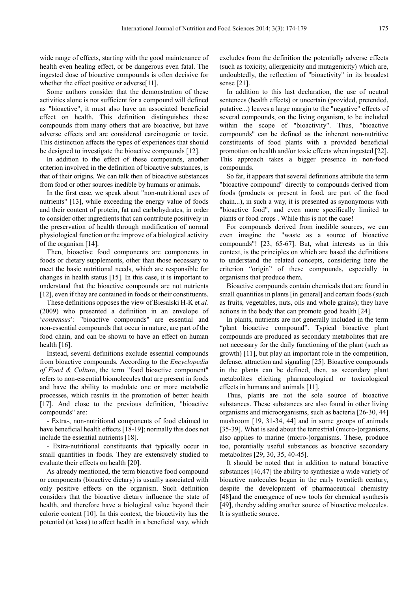wide range of effects, starting with the good maintenance of health even healing effect, or be dangerous even fatal. The ingested dose of bioactive compounds is often decisive for whether the effect positive or adverse[11].

Some authors consider that the demonstration of these activities alone is not sufficient for a compound will defined as "bioactive", it must also have an associated beneficial effect on health. This definition distinguishes these compounds from many others that are bioactive, but have adverse effects and are considered carcinogenic or toxic. This distinction affects the types of experiences that should be designed to investigate the bioactive compounds [12].

In addition to the effect of these compounds, another criterion involved in the definition of bioactive substances, is that of their origins. We can talk then of bioactive substances from food or other sources inedible by humans or animals.

In the first case, we speak about "non-nutritional uses of nutrients" [13], while exceeding the energy value of foods and their content of protein, fat and carbohydrates, in order to consider other ingredients that can contribute positively in the preservation of health through modification of normal physiological function or the improve of a biological activity of the organism [14].

Then, bioactive food components are components in foods or dietary supplements, other than those necessary to meet the basic nutritional needs, which are responsible for changes in health status [15]. In this case, it is important to understand that the bioactive compounds are not nutrients [12], even if they are contained in foods or their constituents.

These definitions opposes the view of Biesalski H-K et *al.* (2009) who presented a definition in an envelope of '*consensus*': "bioactive compounds" are essential and non-essential compounds that occur in nature, are part of the food chain, and can be shown to have an effect on human health  $[16]$ .

Instead, several definitions exclude essential compounds from bioactive compounds. According to the *Encyclopedia of Food & Culture*, the term "food bioactive component" refers to non-essential biomolecules that are present in foods and have the ability to modulate one or more metabolic processes, which results in the promotion of better health [17]. And close to the previous definition, "bioactive compounds" are:

- Extra-, non-nutritional components of food claimed to have beneficial health effects [18-19]; normally this does not include the essential nutrients [18].

- Extra-nutritional constituents that typically occur in small quantities in foods. They are extensively studied to evaluate their effects on health [20].

As already mentioned, the term bioactive food compound or components (bioactive dietary) is usually associated with only positive effects on the organism. Such definition considers that the bioactive dietary influence the state of health, and therefore have a biological value beyond their calorie content [10]. In this context, the bioactivity has the potential (at least) to affect health in a beneficial way, which

excludes from the definition the potentially adverse effects (such as toxicity, allergenicity and mutagenicity) which are, undoubtedly, the reflection of "bioactivity" in its broadest sense [21].

In addition to this last declaration, the use of neutral sentences (health effects) or uncertain (provided, pretended, putative...) leaves a large margin to the "negative" effects of several compounds, on the living organism, to be included within the scope of "bioactivity". Thus, "bioactive compounds" can be defined as the inherent non-nutritive constituents of food plants with a provided beneficial promotion on health and/or toxic effects when ingested [22]. This approach takes a bigger presence in non-food compounds.

So far, it appears that several definitions attribute the term "bioactive compound" directly to compounds derived from foods (products or present in food, are part of the food chain...), in such a way, it is presented as synonymous with "bioactive food", and even more specifically limited to plants or food crops . While this is not the case!

For compounds derived from inedible sources, we can even imagine the "waste as a source of bioactive compounds"! [23, 65-67]. But, what interests us in this context, is the principles on which are based the definitions to understand the related concepts, considering here the criterion "origin" of these compounds, especially in organisms that produce them.

Bioactive compounds contain chemicals that are found in small quantities in plants [in general] and certain foods (such as fruits, vegetables, nuts, oils and whole grains); they have actions in the body that can promote good health [24].

In plants, nutrients are not generally included in the term "plant bioactive compound". Typical bioactive plant compounds are produced as secondary metabolites that are not necessary for the daily functioning of the plant (such as growth) [11], but play an important role in the competition, defense, attraction and signaling [25]. Bioactive compounds in the plants can be defined, then, as secondary plant metabolites eliciting pharmacological or toxicological effects in humans and animals [11].

Thus, plants are not the sole source of bioactive substances. These substances are also found in other living organisms and microorganisms, such as bacteria [26-30, 44] mushroom [19, 31-34, 44] and in some groups of animals [35-39]. What is said about the terrestrial (micro-)organisms, also applies to marine (micro-)organisms. These, produce too, potentially useful substances as bioactive secondary metabolites [29, 30, 35, 40-45].

It should be noted that in addition to natural bioactive substances [46,47] the ability to synthesize a wide variety of bioactive molecules began in the early twentieth century, despite the development of pharmaceutical chemistry [48]and the emergence of new tools for chemical synthesis [49], thereby adding another source of bioactive molecules. It is synthetic source.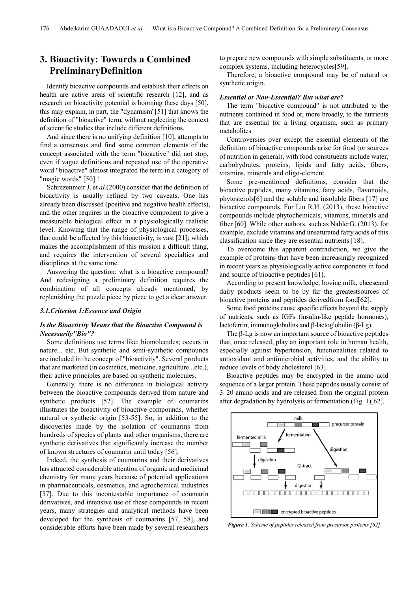# **3. Bioactivity: Towards a Combined PreliminaryDefinition**

Identify bioactive compounds and establish their effects on health are active areas of scientific research [12], and as research on bioactivity potential is booming these days [50], this may explain, in part, the "dynamism"[51] that knows the definition of "bioactive" term, without neglecting the context of scientific studies that include different definitions.

And since there is no unifying definition [10], attempts to find a consensus and find some common elements of the concept associated with the term "bioactive" did not stop, even if vague definitions and repeated use of the operative word "bioactive" almost integrated the term in a category of "magic words" [50] !

Schrezenmeir J. et *al.*(2000) consider that the definition of bioactivity is usually refined by two caveats. One has already been discussed (positive and negative health effects), and the other requires in the bioactive component to give a measurable biological effect in a physiologically realistic level. Knowing that the range of physiological processes, that could be affected by this bioactivity, is vast [21]; which makes the accomplishment of this mission a difficult thing, and requires the intervention of several specialties and disciplines at the same time.

Answering the question: what is a bioactive compound? And redesigning a preliminary definition requires the combination of all concepts already mentioned, by replenishing the puzzle piece by piece to get a clear answer.

#### *3.1.Criterion 1:Essence and Origin*

#### *Is the Bioactivity Means that the Bioactive Compound is Necessarily"Bio"?*

Some definitions use terms like: biomolecules; occurs in nature... etc. But synthetic and semi-synthetic compounds are included in the concept of "bioactivity". Several products that are marketed (in cosmetics, medicine, agriculture...etc.), their active principles are based on synthetic molecules.

Generally, there is no difference in biological activity between the bioactive compounds derived from nature and synthetic products [52]. The example of coumarins illustrates the bioactivity of bioactive compounds, whether natural or synthetic origin [53-55]. So, in addition to the discoveries made by the isolation of coumarins from hundreds of species of plants and other organisms, there are synthetic derivatives that significantly increase the number of known structures of coumarin until today [56].

Indeed, the synthesis of coumarins and their derivatives has attracted considerable attention of organic and medicinal chemistry for many years because of potential applications in pharmaceuticals, cosmetics, and agrochemical industries [57]. Due to this incontestable importance of coumarin derivatives, and intensive use of these compounds in recent years, many strategies and analytical methods have been developed for the synthesis of coumarins [57, 58], and considerable efforts have been made by several researchers

to prepare new compounds with simple substituents, or more complex systems, including heterocycles[59].

Therefore, a bioactive compound may be of natural or synthetic origin.

#### *Essential or Non-Essential? But what are?*

The term "bioactive compound" is not attributed to the nutrients contained in food or, more broadly, to the nutrients that are essential for a living organism, such as primary metabolites.

Controversies over except the essential elements of the definition of bioactive compounds arise for food (or sources of nutrition in general), with food constituents include water, carbohydrates, proteins, lipids and fatty acids, fibers, vitamins, minerals and oligo-element.

Some pre-mentioned definitions, consider that the bioactive peptides, many vitamins, fatty acids, flavonoids, phytosterols[6] and the soluble and insoluble fibers [17] are bioactive compounds. For Liu R.H. (2013), these bioactive compounds include phytochemicals, vitamins, minerals and fiber [60]. While other authors, such as NahlerG. (2013), for example, exclude vitamins and unsaturated fatty acids of this classification since they are essential nutrients [18].

To overcome this apparent contradiction, we give the example of proteins that have been increasingly recognized in recent years as physiologically active components in food and source of bioactive peptides [61].

According to present knowledge, bovine milk, cheeseand dairy products seem to be by far the greatestsources of bioactive proteins and peptides derived from food [62].

Some food proteins cause specific effects beyond the supply of nutrients, such as IGFs (insulin-like peptide hormones), lactoferrin, immunoglobulins and β-lactoglobulin (β-Lg).

The β-Lg is now an important source of bioactive peptides that, once released, play an important role in human health, especially against hypertension, functionalities related to antioxidant and antimicrobial activities, and the ability to reduce levels of body cholesterol [63].

Bioactive peptides may be encrypted in the amino acid sequence of a larger protein. These peptides usually consist of 3–20 amino acids and are released from the original protein after degradation by hydrolysis or fermentation (Fig. 1)[62].



*Figure 1. Scheme of peptides released from precursor proteins [62]*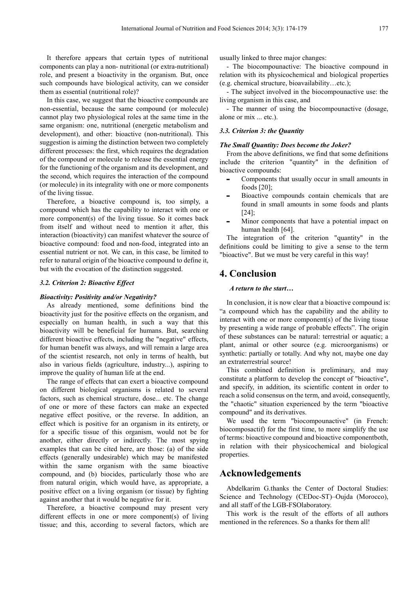It therefore appears that certain types of nutritional components can play a non- nutritional (or extra-nutritional) role, and present a bioactivity in the organism. But, once such compounds have biological activity, can we consider them as essential (nutritional role)?

In this case, we suggest that the bioactive compounds are non-essential, because the same compound (or molecule) cannot play two physiological roles at the same time in the same organism: one, nutritional (energetic metabolism and development), and other: bioactive (non-nutritional). This suggestion is aiming the distinction between two completely different processes: the first, which requires the degradation of the compound or molecule to release the essential energy for the functioning of the organism and its development, and the second, which requires the interaction of the compound (or molecule) in its integrality with one or more components of the living tissue.

Therefore, a bioactive compound is, too simply, a compound which has the capability to interact with one or more component(s) of the living tissue. So it comes back from itself and without need to mention it after, this interaction (bioactivity) can manifest whatever the source of bioactive compound: food and non-food, integrated into an essential nutrient or not. We can, in this case, be limited to refer to natural origin of the bioactive compound to define it, but with the evocation of the distinction suggested.

#### *3.2. Criterion 2: Bioactive Effect*

#### *Bioactivity: Positivity and/or Negativity?*

As already mentioned, some definitions bind the bioactivity just for the positive effects on the organism, and especially on human health, in such a way that this bioactivity will be beneficial for humans. But, searching different bioactive effects, including the "negative" effects, for human benefit was always, and will remain a large area of the scientist research, not only in terms of health, but also in various fields (agriculture, industry...), aspiring to improve the quality of human life at the end.

The range of effects that can exert a bioactive compound on different biological organisms is related to several factors, such as chemical structure, dose... etc. The change of one or more of these factors can make an expected negative effect positive, or the reverse. In addition, an effect which is positive for an organism in its entirety, or for a specific tissue of this organism, would not be for another, either directly or indirectly. The most spying examples that can be cited here, are those: (a) of the side effects (generally undesirable) which may be manifested within the same organism with the same bioactive compound, and (b) biocides, particularly those who are from natural origin, which would have, as appropriate, a positive effect on a living organism (or tissue) by fighting against another that it would be negative for it.

Therefore, a bioactive compound may present very different effects in one or more component(s) of living tissue; and this, according to several factors, which are usually linked to three major changes:

- The biocompounactive: The bioactive compound in relation with its physicochemical and biological properties (e.g. chemical structure, bioavailability…etc.);

- The subject involved in the biocompounactive use: the living organism in this case, and

- The manner of using the biocompounactive (dosage, alone or mix ... etc.).

#### *3.3. Criterion 3: the Quantity*

#### *The Small Quantity: Does become the Joker?*

From the above definitions, we find that some definitions include the criterion "quantity" in the definition of bioactive compounds:

- Components that usually occur in small amounts in foods [20];
- Bioactive compounds contain chemicals that are found in small amounts in some foods and plants [24];
- Minor components that have a potential impact on human health [64].

The integration of the criterion "quantity" in the definitions could be limiting to give a sense to the term "bioactive". But we must be very careful in this way!

### **4. Conclusion**

#### *A return to the start…*

In conclusion, it is now clear that a bioactive compound is: "a compound which has the capability and the ability to interact with one or more component(s) of the living tissue by presenting a wide range of probable effects". The origin of these substances can be natural: terrestrial or aquatic; a plant, animal or other source (e.g. microorganisms) or synthetic: partially or totally. And why not, maybe one day an extraterrestrial source!

This combined definition is preliminary, and may constitute a platform to develop the concept of "bioactive", and specify, in addition, its scientific content in order to reach a solid consensus on the term, and avoid, consequently, the "chaotic" situation experienced by the term "bioactive compound" and its derivatives.

We used the term "biocompounactive" (in French: biocomposactif) for the first time, to more simplify the use of terms: bioactive compound and bioactive componentboth, in relation with their physicochemical and biological properties.

### **Acknowledgements**

Abdelkarim G.thanks the Center of Doctoral Studies: Science and Technology (CEDoc-ST)–Oujda (Morocco), and all staff of the LGB-FSOlaboratory.

This work is the result of the efforts of all authors mentioned in the references. So a thanks for them all!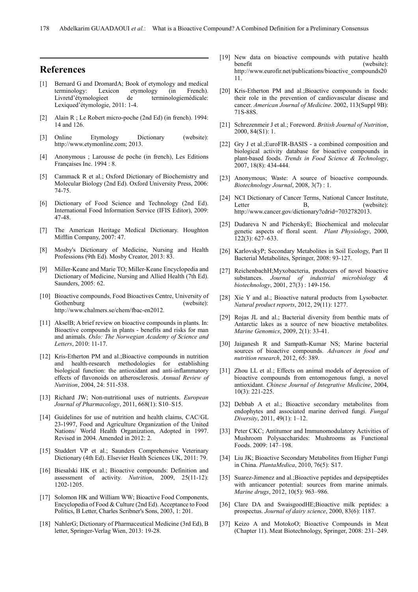### **References**

- [1] Bernard G and DromardA; Book of etymology and medical terminology: Lexicon etymology (in French). Livretd'étymologieet de terminologiemédicale: Lexiqued'étymologie, 2011: 1-4.
- [2] Alain R ; Le Robert micro-poche (2nd Ed) (in french). 1994: 14 and 126.
- [3] Online Etymology Dictionary (website): http://www.etymonline.com; 2013.
- [4] Anonymous ; Larousse de poche (in french), Les Editions Françaises Inc. 1994 : 8.
- [5] Cammack R et al.; Oxford Dictionary of Biochemistry and Molecular Biology (2nd Ed). Oxford University Press, 2006: 74-75.
- [6] Dictionary of Food Science and Technology (2nd Ed). International Food Information Service (IFIS Editor), 2009: 47-48.
- [7] The American Heritage Medical Dictionary. Houghton Mifflin Company, 2007: 47.
- [8] Mosby's Dictionary of Medicine, Nursing and Health Professions (9th Ed). Mosby Creator, 2013: 83.
- [9] Miller-Keane and Marie TO; Miller-Keane Encyclopedia and Dictionary of Medicine, Nursing and Allied Health (7th Ed). Saunders, 2005: 62.
- [10] Bioactive compounds, Food Bioactives Centre, University of Gothenburg (website): http://www.chalmers.se/chem/fbac-en2012.
- [11] AkselB; A brief review on bioactive compounds in plants. In: Bioactive compounds in plants - benefits and risks for man and animals. *Oslo: The Norwegian Academy of Science and Letters*, 2010: 11-17.
- [12] Kris-Etherton PM and al.; Bioactive compounds in nutrition and health-research methodologies for establishing biological function: the antioxidant and anti-inflammatory effects of flavonoids on atherosclerosis. *Annual Review of Nutrition*, 2004, 24: 511-538.
- [13] Richard JW; Non-nutritional uses of nutrients. *European Journal of Pharmacology*, 2011, 668(1): S10–S15.
- [14] Guidelines for use of nutrition and health claims, CAC/GL 23-1997, Food and Agriculture Organization of the United Nations/ World Health Organization, Adopted in 1997. Revised in 2004. Amended in 2012: 2.
- [15] Studdert VP et al.; Saunders Comprehensive Veterinary Dictionary (4th Ed). Elsevier Health Sciences UK, 2011: 79.
- [16] Biesalski HK et al.; Bioactive compounds: Definition and assessment of activity. *Nutrition*, 2009, 25(11-12): 1202-1205.
- [17] Solomon HK and William WW; Bioactive Food Components, Encyclopedia of Food & Culture (2nd Ed). Acceptance to Food Politics, B Letter, Charles Scribner's Sons, 2003, 1: 201.
- [18] NahlerG; Dictionary of Pharmaceutical Medicine (3rd Ed), B letter, Springer-Verlag Wien, 2013: 19-28.
- [19] New data on bioactive compounds with putative health benefit (website): http://www.eurofir.net/publications/bioactive\_compounds20 11.
- [20] Kris-Etherton PM and al.:Bioactive compounds in foods: their role in the prevention of cardiovascular disease and cancer. *American Journal of Medicine*. 2002, 113(Suppl 9B): 71S-88S.
- [21] Schrezenmeir J et al.; Foreword. *British Journal of Nutrition*, 2000, 84(S1): 1.
- [22] Gry J et al.; EuroFIR-BASIS a combined composition and biological activity database for bioactive compounds in plant-based foods. *Trends in Food Science & Technology*, 2007, 18(8): 434-444.
- [23] Anonymous; Waste: A source of bioactive compounds. *Biotechnology Journal*, 2008, 3(7) : 1.
- [24] NCI Dictionary of Cancer Terms, National Cancer Institute, Letter B, (website): http://www.cancer.gov/dictionary?cdrid=7032782013.
- [25] Dudareva N and PicherskyE; Biochemical and molecular genetic aspects of floral scent. *Plant Physiology*, 2000, 122(3): 627–633.
- [26] KarlovskyP; Secondary Metabolites in Soil Ecology, Part II Bacterial Metabolites, Springer, 2008: 93-127.
- [27] ReichenbachH;Myxobacteria, producers of novel bioactive substances. *Journal of industrial microbiology & biotechnology*, 2001, 27(3) : 149-156.
- [28] Xie Y and al.; Bioactive natural products from Lysobacter. *Natural product reports*, 2012, 29(11): 1277.
- [29] Rojas JL and al.; Bacterial diversity from benthic mats of Antarctic lakes as a source of new bioactive metabolites. *Marine Genomics*, 2009, 2(1): 33-41.
- [30] Jaiganesh R and Sampath-Kumar NS; Marine bacterial sources of bioactive compounds. *Advances in food and nutrition research*, 2012, 65: 389.
- [31] Zhou LL et al.; Effects on animal models of depression of bioactive compounds from entomogenous fungi, a novel antioxidant. *Chinese Journal of Integrative Medicine*, 2004, 10(3): 221-225.
- [32] Debbab A et al.; Bioactive secondary metabolites from endophytes and associated marine derived fungi. *Fungal Diversity*, 2011, 49(1): 1–12.
- [33] Peter CKC; Antitumor and Immunomodulatory Activities of Mushroom Polysaccharides: Mushrooms as Functional Foods. 2009: 147–198.
- [34] Liu JK; Bioactive Secondary Metabolites from Higher Fungi in China. *PlantaMedica*, 2010, 76(5): S17.
- [35] Suarez-Jimenez and al.;Bioactive peptides and depsipeptides with anticancer potential: sources from marine animals. *Marine drugs*, 2012, 10(5): 963–986.
- [36] Clare DA and SwaisgoodHE;Bioactive milk peptides: a prospectus. *Journal of dairy science*, 2000, 83(6): 1187.
- [37] Keizo A and MotokoO; Bioactive Compounds in Meat (Chapter 11). Meat Biotechnology, Springer, 2008: 231–249.